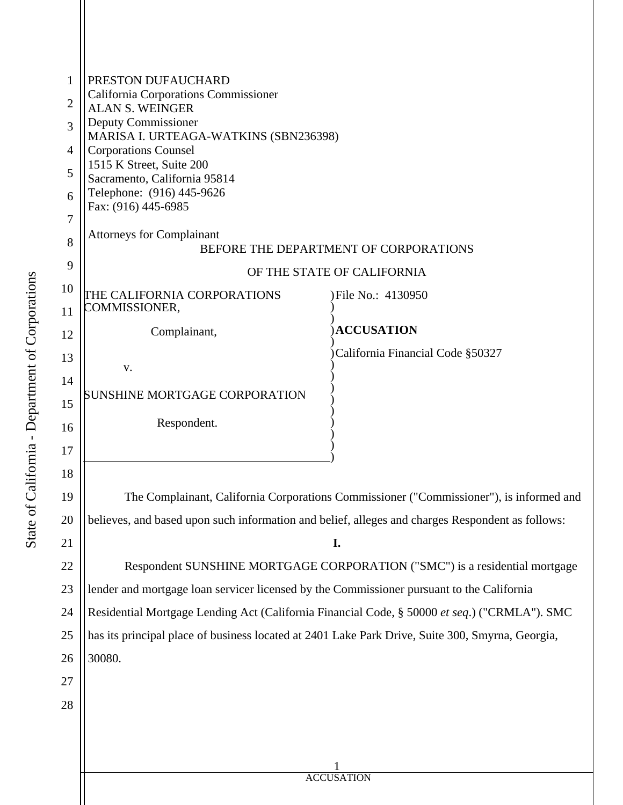| 1<br>2 | PRESTON DUFAUCHARD<br><b>California Corporations Commissioner</b><br><b>ALAN S. WEINGER</b><br>Deputy Commissioner |                                                                                         |  |  |
|--------|--------------------------------------------------------------------------------------------------------------------|-----------------------------------------------------------------------------------------|--|--|
| 3      | MARISA I. URTEAGA-WATKINS (SBN236398)                                                                              |                                                                                         |  |  |
| 4      | <b>Corporations Counsel</b><br>1515 K Street, Suite 200                                                            |                                                                                         |  |  |
| 5      | Sacramento, California 95814<br>Telephone: (916) 445-9626                                                          |                                                                                         |  |  |
| 6<br>7 | Fax: (916) 445-6985                                                                                                |                                                                                         |  |  |
| 8      | <b>Attorneys for Complainant</b>                                                                                   |                                                                                         |  |  |
| 9      | BEFORE THE DEPARTMENT OF CORPORATIONS                                                                              |                                                                                         |  |  |
| 10     | OF THE STATE OF CALIFORNIA                                                                                         |                                                                                         |  |  |
| 11     | THE CALIFORNIA CORPORATIONS<br>COMMISSIONER,                                                                       | )File No.: 4130950                                                                      |  |  |
| 12     | Complainant,                                                                                                       | <b>ACCUSATION</b>                                                                       |  |  |
| 13     |                                                                                                                    | California Financial Code §50327                                                        |  |  |
| 14     | V.                                                                                                                 |                                                                                         |  |  |
| 15     | SUNSHINE MORTGAGE CORPORATION                                                                                      |                                                                                         |  |  |
| 16     | Respondent.                                                                                                        |                                                                                         |  |  |
| 17     |                                                                                                                    |                                                                                         |  |  |
| 18     |                                                                                                                    |                                                                                         |  |  |
| 19     |                                                                                                                    | The Complainant, California Corporations Commissioner ("Commissioner"), is informed and |  |  |
| 20     | believes, and based upon such information and belief, alleges and charges Respondent as follows:                   |                                                                                         |  |  |
| 21     | I.                                                                                                                 |                                                                                         |  |  |
| 22     | Respondent SUNSHINE MORTGAGE CORPORATION ("SMC") is a residential mortgage                                         |                                                                                         |  |  |
| 23     | lender and mortgage loan servicer licensed by the Commissioner pursuant to the California                          |                                                                                         |  |  |
| 24     | Residential Mortgage Lending Act (California Financial Code, § 50000 et seq.) ("CRMLA"). SMC                       |                                                                                         |  |  |
| 25     | has its principal place of business located at 2401 Lake Park Drive, Suite 300, Smyrna, Georgia,                   |                                                                                         |  |  |
| 26     | 30080.                                                                                                             |                                                                                         |  |  |
| 27     |                                                                                                                    |                                                                                         |  |  |
| 28     |                                                                                                                    |                                                                                         |  |  |
|        |                                                                                                                    |                                                                                         |  |  |
|        |                                                                                                                    |                                                                                         |  |  |
|        | <b>ACCUSATION</b>                                                                                                  |                                                                                         |  |  |
|        |                                                                                                                    |                                                                                         |  |  |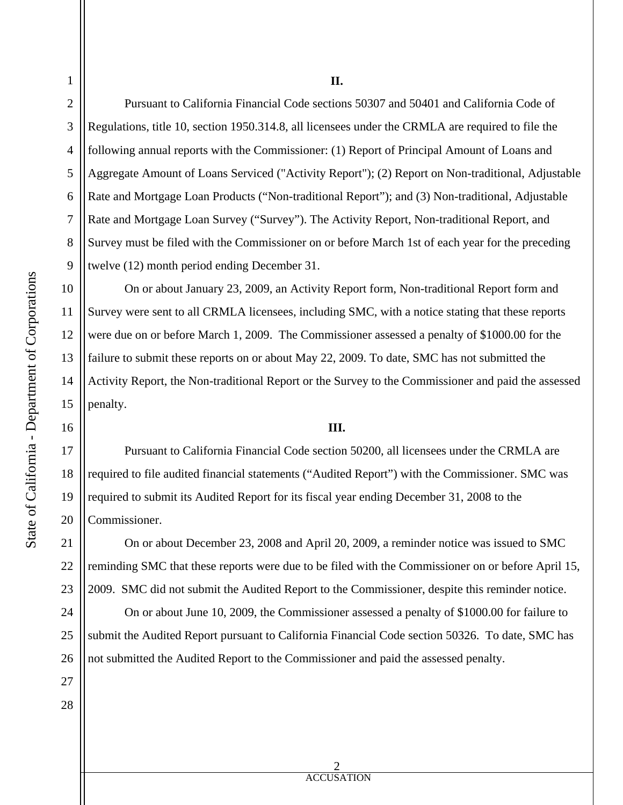1

2

3

4

5

6

7

8

9

10

11

12

13

14

15

16

17

18

19

20

21

22

23

24

25

26

## **II.**

Pursuant to California Financial Code sections 50307 and 50401 and California Code of Regulations, title 10, section 1950.314.8, all licensees under the CRMLA are required to file the following annual reports with the Commissioner: (1) Report of Principal Amount of Loans and Aggregate Amount of Loans Serviced ("Activity Report"); (2) Report on Non-traditional, Adjustable Rate and Mortgage Loan Products ("Non-traditional Report"); and (3) Non-traditional, Adjustable Rate and Mortgage Loan Survey ("Survey"). The Activity Report, Non-traditional Report, and Survey must be filed with the Commissioner on or before March 1st of each year for the preceding twelve (12) month period ending December 31.

 On or about January 23, 2009, an Activity Report form, Non-traditional Report form and Survey were sent to all CRMLA licensees, including SMC, with a notice stating that these reports were due on or before March 1, 2009. The Commissioner assessed a penalty of \$1000.00 for the failure to submit these reports on or about May 22, 2009. To date, SMC has not submitted the Activity Report, the Non-traditional Report or the Survey to the Commissioner and paid the assessed penalty.

## **III.**

 Pursuant to California Financial Code section 50200, all licensees under the CRMLA are required to file audited financial statements ("Audited Report") with the Commissioner. SMC was required to submit its Audited Report for its fiscal year ending December 31, 2008 to the Commissioner.

 On or about December 23, 2008 and April 20, 2009, a reminder notice was issued to SMC reminding SMC that these reports were due to be filed with the Commissioner on or before April 15, 2009. SMC did not submit the Audited Report to the Commissioner, despite this reminder notice.

On or about June 10, 2009, the Commissioner assessed a penalty of \$1000.00 for failure to submit the Audited Report pursuant to California Financial Code section 50326. To date, SMC has not submitted the Audited Report to the Commissioner and paid the assessed penalty.

27 28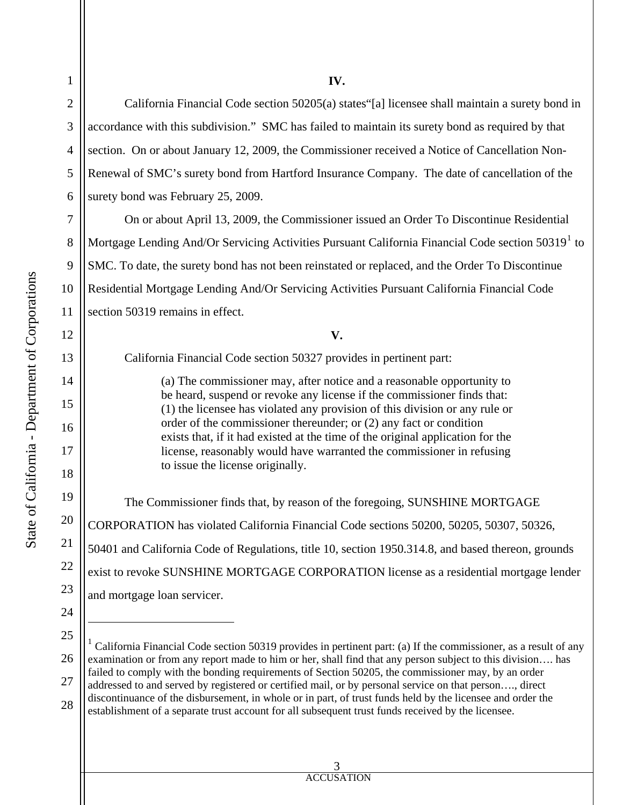|            | $\overline{c}$ | California               |
|------------|----------------|--------------------------|
|            | 3              | accordance with t        |
|            | $\overline{4}$ | section. On or ab        |
|            | 5              | Renewal of SMC           |
|            | 6              | surety bond was I        |
|            | $\overline{7}$ | On or abot               |
|            | 8              | Mortgage Lending         |
|            | 9              | SMC. To date, the        |
|            | 10             | <b>Residential Mortg</b> |
|            | 11             | section 50319 ren        |
|            | 12             |                          |
|            | 13             | California               |
| Denartment | 14             | (a)                      |
|            | 15             | be<br>(1)                |
|            | 16             | <b>orc</b>               |
|            | 17             | exi<br>lic               |
|            | 18             | $\mathsf{to}$ :          |
|            | 19             | The Comr                 |
|            | 20             | CORPORATION              |
|            | 21             | 50401 and Califor        |
|            |                |                          |

1

**IV.** 

Financial Code section  $50205(a)$  states [a] licensee shall maintain a surety bond in his subdivision." SMC has failed to maintain its surety bond as required by that out January 12, 2009, the Commissioner received a Notice of Cancellation Non-'s surety bond from Hartford Insurance Company. The date of cancellation of the February  $25$ ,  $2009$ .

ut April 13, 2009, the Commissioner issued an Order To Discontinue Residential Mortgage Lending And/Or Servicing Activities Pursuant California Financial Code section 503[1](#page-2-0)9<sup>1</sup> to e surety bond has not been reinstated or replaced, and the Order To Discontinue rage Lending And/Or Servicing Activities Pursuant California Financial Code nains in effect.

**V.** 

Financial Code section 50327 provides in pertinent part:

The commissioner may, after notice and a reasonable opportunity to be heard, suspend or revoke any license if the commissioner finds that: (1) the licensee has violated any provision of this division or any rule or der of the commissioner thereunder; or  $(2)$  any fact or condition ists that, if it had existed at the time of the original application for the ense, reasonably would have warranted the commissioner in refusing issue the license originally.

missioner finds that, by reason of the foregoing, SUNSHINE MORTGAGE has violated California Financial Code sections 50200, 50205, 50307, 50326, rnia Code of Regulations, title 10, section 1950.314.8, and based thereon, grounds exist to revoke SUNSHINE MORTGAGE CORPORATION license as a residential mortgage lender and mortgage loan servicer.

24

 $\overline{a}$ 

22

23

<span id="page-2-0"></span>25 26 27 28 <sup>1</sup> California Financial Code section 50319 provides in pertinent part: (a) If the commissioner, as a result of any examination or from any report made to him or her, shall find that any person subject to this division…. has failed to comply with the bonding requirements of Section 50205, the commissioner may, by an order addressed to and served by registered or certified mail, or by personal service on that person…., direct discontinuance of the disbursement, in whole or in part, of trust funds held by the licensee and order the establishment of a separate trust account for all subsequent trust funds received by the licensee.